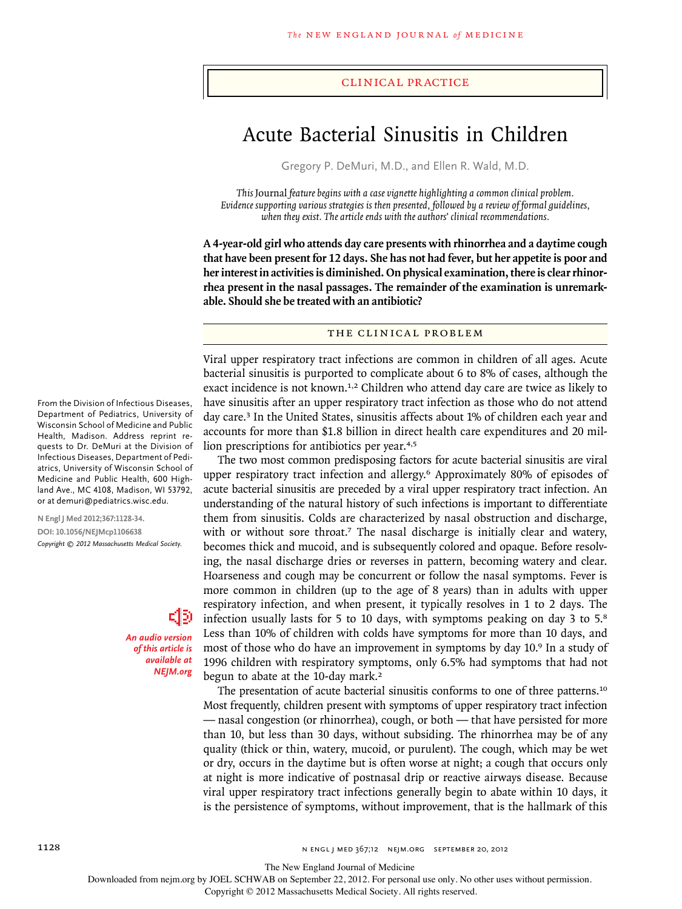#### clinical practice

# Acute Bacterial Sinusitis in Children

Gregory P. DeMuri, M.D., and Ellen R. Wald, M.D.

*This* Journal *feature begins with a case vignette highlighting a common clinical problem. Evidence supporting various strategies is then presented, followed by a review of formal guidelines, when they exist. The article ends with the authors' clinical recommendations.* 

**A 4-year-old girl who attends day care presents with rhinorrhea and a daytime cough that have been present for 12 days. She has not had fever, but her appetite is poor and her interest in activities is diminished. On physical examination, there is clear rhinorrhea present in the nasal passages. The remainder of the examination is unremarkable. Should she be treated with an antibiotic?**

## The Clinical Problem

Viral upper respiratory tract infections are common in children of all ages. Acute bacterial sinusitis is purported to complicate about 6 to 8% of cases, although the exact incidence is not known.<sup>1,2</sup> Children who attend day care are twice as likely to have sinusitis after an upper respiratory tract infection as those who do not attend day care.<sup>3</sup> In the United States, sinusitis affects about 1% of children each year and accounts for more than \$1.8 billion in direct health care expenditures and 20 million prescriptions for antibiotics per year.4,5

The two most common predisposing factors for acute bacterial sinusitis are viral upper respiratory tract infection and allergy.6 Approximately 80% of episodes of acute bacterial sinusitis are preceded by a viral upper respiratory tract infection. An understanding of the natural history of such infections is important to differentiate them from sinusitis. Colds are characterized by nasal obstruction and discharge, with or without sore throat.<sup>7</sup> The nasal discharge is initially clear and watery, becomes thick and mucoid, and is subsequently colored and opaque. Before resolving, the nasal discharge dries or reverses in pattern, becoming watery and clear. Hoarseness and cough may be concurrent or follow the nasal symptoms. Fever is more common in children (up to the age of 8 years) than in adults with upper respiratory infection, and when present, it typically resolves in 1 to 2 days. The infection usually lasts for 5 to 10 days, with symptoms peaking on day 3 to 5.<sup>8</sup> Less than 10% of children with colds have symptoms for more than 10 days, and most of those who do have an improvement in symptoms by day 10.9 In a study of 1996 children with respiratory symptoms, only 6.5% had symptoms that had not begun to abate at the 10-day mark.<sup>2</sup>

The presentation of acute bacterial sinusitis conforms to one of three patterns.<sup>10</sup> Most frequently, children present with symptoms of upper respiratory tract infection — nasal congestion (or rhinorrhea), cough, or both — that have persisted for more than 10, but less than 30 days, without subsiding. The rhinorrhea may be of any quality (thick or thin, watery, mucoid, or purulent). The cough, which may be wet or dry, occurs in the daytime but is often worse at night; a cough that occurs only at night is more indicative of postnasal drip or reactive airways disease. Because viral upper respiratory tract infections generally begin to abate within 10 days, it is the persistence of symptoms, without improvement, that is the hallmark of this

From the Division of Infectious Diseases, Department of Pediatrics, University of Wisconsin School of Medicine and Public Health, Madison. Address reprint requests to Dr. DeMuri at the Division of Infectious Diseases, Department of Pediatrics, University of Wisconsin School of Medicine and Public Health, 600 Highland Ave., MC 4108, Madison, WI 53792, or at demuri@pediatrics.wisc.edu.

**N Engl J Med 2012;367:1128-34. DOI: 10.1056/NEJMcp1106638** *Copyright © 2012 Massachusetts Medical Society.*

> *An audio version of this article is available at NEJM.org*

The New England Journal of Medicine

Downloaded from nejm.org by JOEL SCHWAB on September 22, 2012. For personal use only. No other uses without permission.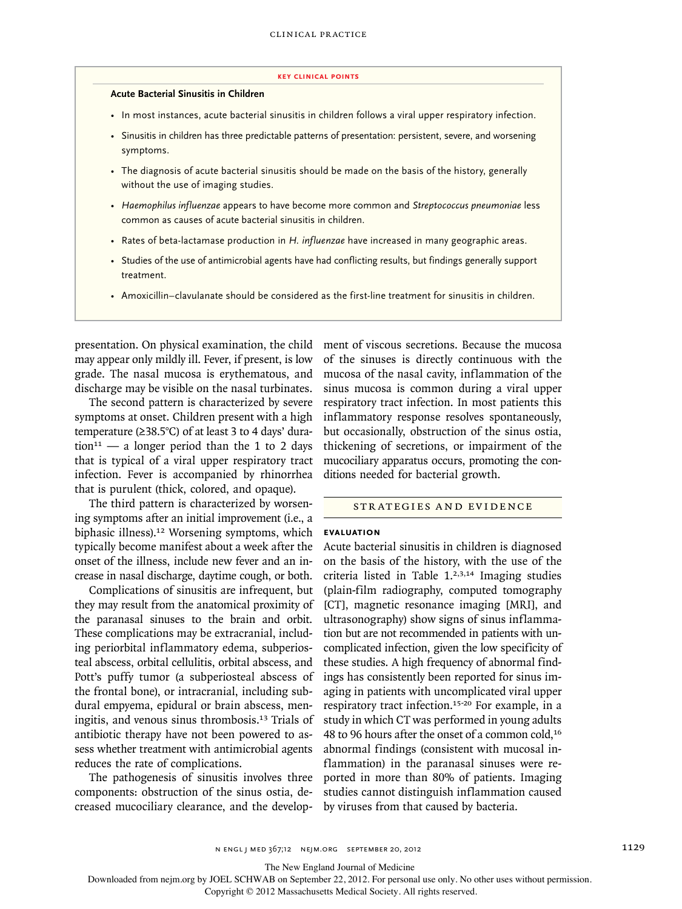#### **key Clinical points**

#### **Acute Bacterial Sinusitis in Children**

- In most instances, acute bacterial sinusitis in children follows a viral upper respiratory infection.
- Sinusitis in children has three predictable patterns of presentation: persistent, severe, and worsening symptoms.
- The diagnosis of acute bacterial sinusitis should be made on the basis of the history, generally without the use of imaging studies.
- *Haemophilus influenzae* appears to have become more common and *Streptococcus pneumoniae* less common as causes of acute bacterial sinusitis in children.
- Rates of beta-lactamase production in *H. influenzae* have increased in many geographic areas.
- Studies of the use of antimicrobial agents have had conflicting results, but findings generally support treatment.
- Amoxicillin–clavulanate should be considered as the first-line treatment for sinusitis in children.

presentation. On physical examination, the child may appear only mildly ill. Fever, if present, is low grade. The nasal mucosa is erythematous, and discharge may be visible on the nasal turbinates.

The second pattern is characterized by severe symptoms at onset. Children present with a high temperature (≥38.5°C) of at least 3 to 4 days' dura- $\text{tion}^{11}$  — a longer period than the 1 to 2 days that is typical of a viral upper respiratory tract infection. Fever is accompanied by rhinorrhea that is purulent (thick, colored, and opaque).

The third pattern is characterized by worsening symptoms after an initial improvement (i.e., a biphasic illness).12 Worsening symptoms, which typically become manifest about a week after the onset of the illness, include new fever and an increase in nasal discharge, daytime cough, or both.

Complications of sinusitis are infrequent, but they may result from the anatomical proximity of the paranasal sinuses to the brain and orbit. These complications may be extracranial, including periorbital inflammatory edema, subperiosteal abscess, orbital cellulitis, orbital abscess, and Pott's puffy tumor (a subperiosteal abscess of the frontal bone), or intracranial, including subdural empyema, epidural or brain abscess, meningitis, and venous sinus thrombosis.13 Trials of antibiotic therapy have not been powered to assess whether treatment with antimicrobial agents reduces the rate of complications.

The pathogenesis of sinusitis involves three components: obstruction of the sinus ostia, decreased mucociliary clearance, and the development of viscous secretions. Because the mucosa of the sinuses is directly continuous with the mucosa of the nasal cavity, inflammation of the sinus mucosa is common during a viral upper respiratory tract infection. In most patients this inflammatory response resolves spontaneously, but occasionally, obstruction of the sinus ostia, thickening of secretions, or impairment of the mucociliary apparatus occurs, promoting the conditions needed for bacterial growth.

### Strategies and Evidence

## **Evaluation**

Acute bacterial sinusitis in children is diagnosed on the basis of the history, with the use of the criteria listed in Table 1.2,3,14 Imaging studies (plain-film radiography, computed tomography [CT], magnetic resonance imaging [MRI], and ultrasonography) show signs of sinus inflammation but are not recommended in patients with uncomplicated infection, given the low specificity of these studies. A high frequency of abnormal findings has consistently been reported for sinus imaging in patients with uncomplicated viral upper respiratory tract infection.15-20 For example, in a study in which CT was performed in young adults 48 to 96 hours after the onset of a common cold,<sup>16</sup> abnormal findings (consistent with mucosal inflammation) in the paranasal sinuses were reported in more than 80% of patients. Imaging studies cannot distinguish inflammation caused by viruses from that caused by bacteria.

The New England Journal of Medicine

Downloaded from nejm.org by JOEL SCHWAB on September 22, 2012. For personal use only. No other uses without permission.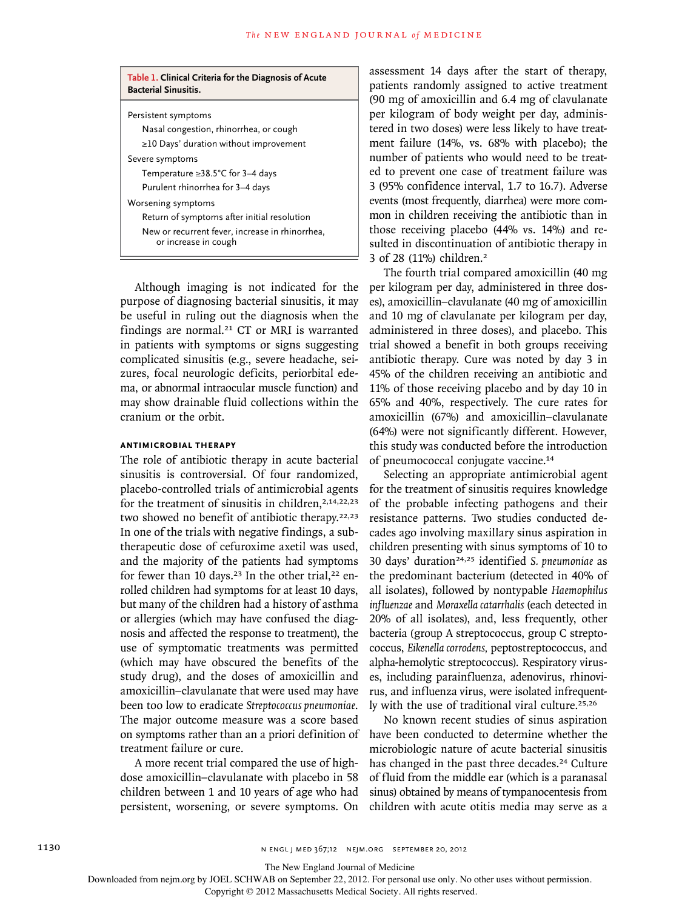| Table 1. Clinical Criteria for the Diagnosis of Acute<br><b>Bacterial Sinusitis.</b> |
|--------------------------------------------------------------------------------------|
| Persistent symptoms                                                                  |
| Nasal congestion, rhinorrhea, or cough                                               |
| $\geq$ 10 Days' duration without improvement                                         |
| Severe symptoms                                                                      |
| Temperature $\geq$ 38.5°C for 3–4 days                                               |
| Purulent rhinorrhea for 3-4 days                                                     |
| Worsening symptoms                                                                   |
| Return of symptoms after initial resolution                                          |
| New or recurrent fever, increase in rhinorrhea,<br>or increase in cough              |

Although imaging is not indicated for the purpose of diagnosing bacterial sinusitis, it may be useful in ruling out the diagnosis when the findings are normal.<sup>21</sup> CT or MRI is warranted in patients with symptoms or signs suggesting complicated sinusitis (e.g., severe headache, seizures, focal neurologic deficits, periorbital edema, or abnormal intraocular muscle function) and may show drainable fluid collections within the cranium or the orbit.

## **Antimicrobial Therapy**

The role of antibiotic therapy in acute bacterial sinusitis is controversial. Of four randomized, placebo-controlled trials of antimicrobial agents for the treatment of sinusitis in children,  $2,14,22,23$ two showed no benefit of antibiotic therapy.22,23 In one of the trials with negative findings, a subtherapeutic dose of cefuroxime axetil was used, and the majority of the patients had symptoms for fewer than 10 days.<sup>23</sup> In the other trial,<sup>22</sup> enrolled children had symptoms for at least 10 days, but many of the children had a history of asthma or allergies (which may have confused the diagnosis and affected the response to treatment), the use of symptomatic treatments was permitted (which may have obscured the benefits of the study drug), and the doses of amoxicillin and amoxicillin–clavulanate that were used may have been too low to eradicate *Streptococcus pneumoniae*. The major outcome measure was a score based on symptoms rather than an a priori definition of treatment failure or cure.

A more recent trial compared the use of highdose amoxicillin–clavulanate with placebo in 58 children between 1 and 10 years of age who had persistent, worsening, or severe symptoms. On assessment 14 days after the start of therapy, patients randomly assigned to active treatment (90 mg of amoxicillin and 6.4 mg of clavulanate per kilogram of body weight per day, administered in two doses) were less likely to have treatment failure (14%, vs. 68% with placebo); the number of patients who would need to be treated to prevent one case of treatment failure was 3 (95% confidence interval, 1.7 to 16.7). Adverse events (most frequently, diarrhea) were more common in children receiving the antibiotic than in those receiving placebo (44% vs. 14%) and resulted in discontinuation of antibiotic therapy in 3 of 28 (11%) children.<sup>2</sup>

The fourth trial compared amoxicillin (40 mg per kilogram per day, administered in three doses), amoxicillin–clavulanate (40 mg of amoxicillin and 10 mg of clavulanate per kilogram per day, administered in three doses), and placebo. This trial showed a benefit in both groups receiving antibiotic therapy. Cure was noted by day 3 in 45% of the children receiving an antibiotic and 11% of those receiving placebo and by day 10 in 65% and 40%, respectively. The cure rates for amoxicillin (67%) and amoxicillin–clavulanate (64%) were not significantly different. However, this study was conducted before the introduction of pneumococcal conjugate vaccine.<sup>14</sup>

Selecting an appropriate antimicrobial agent for the treatment of sinusitis requires knowledge of the probable infecting pathogens and their resistance patterns. Two studies conducted decades ago involving maxillary sinus aspiration in children presenting with sinus symptoms of 10 to 30 days' duration24,25 identified *S. pneumoniae* as the predominant bacterium (detected in 40% of all isolates), followed by nontypable *Haemophilus influenzae* and *Moraxella catarrhalis* (each detected in 20% of all isolates), and, less frequently, other bacteria (group A streptococcus, group C streptococcus, *Eikenella corrodens,* peptostreptococcus, and alpha-hemolytic streptococcus). Respiratory viruses, including parainfluenza, adenovirus, rhinovirus, and influenza virus, were isolated infrequently with the use of traditional viral culture.25,26

No known recent studies of sinus aspiration have been conducted to determine whether the microbiologic nature of acute bacterial sinusitis has changed in the past three decades.<sup>24</sup> Culture of fluid from the middle ear (which is a paranasal sinus) obtained by means of tympanocentesis from children with acute otitis media may serve as a

The New England Journal of Medicine

Downloaded from nejm.org by JOEL SCHWAB on September 22, 2012. For personal use only. No other uses without permission.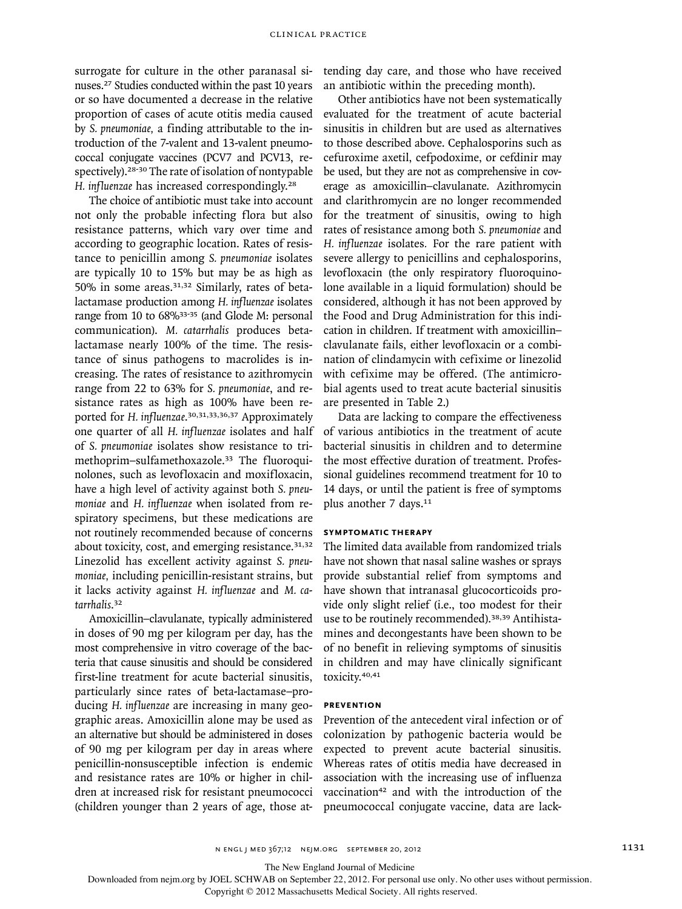surrogate for culture in the other paranasal sinuses.27 Studies conducted within the past 10 years or so have documented a decrease in the relative proportion of cases of acute otitis media caused by *S. pneumoniae,* a finding attributable to the introduction of the 7-valent and 13-valent pneumococcal conjugate vaccines (PCV7 and PCV13, respectively).28-30 The rate of isolation of nontypable *H. influenzae* has increased correspondingly.<sup>28</sup>

The choice of antibiotic must take into account not only the probable infecting flora but also resistance patterns, which vary over time and according to geographic location. Rates of resistance to penicillin among *S. pneumoniae* isolates are typically 10 to 15% but may be as high as 50% in some areas.31,32 Similarly, rates of betalactamase production among *H. influenzae* isolates range from 10 to 68%<sup>33-35</sup> (and Glode M: personal communication). *M. catarrhalis* produces betalactamase nearly 100% of the time. The resistance of sinus pathogens to macrolides is increasing. The rates of resistance to azithromycin range from 22 to 63% for *S. pneumoniae*, and resistance rates as high as 100% have been reported for *H. influenzae*. 30,31,33,36,37 Approximately one quarter of all *H. influenzae* isolates and half of *S. pneumoniae* isolates show resistance to trimethoprim–sulfamethoxazole.33 The fluoroquinolones, such as levofloxacin and moxifloxacin, have a high level of activity against both *S. pneumoniae* and *H. influenzae* when isolated from respiratory specimens, but these medications are not routinely recommended because of concerns about toxicity, cost, and emerging resistance.<sup>31,32</sup> Linezolid has excellent activity against *S. pneumoniae,* including penicillin-resistant strains, but it lacks activity against *H. influenzae* and *M. catarrhalis*. 32

Amoxicillin–clavulanate, typically administered in doses of 90 mg per kilogram per day, has the most comprehensive in vitro coverage of the bacteria that cause sinusitis and should be considered first-line treatment for acute bacterial sinusitis, particularly since rates of beta-lactamase–producing *H. influenzae* are increasing in many geographic areas. Amoxicillin alone may be used as an alternative but should be administered in doses of 90 mg per kilogram per day in areas where penicillin-nonsusceptible infection is endemic and resistance rates are 10% or higher in children at increased risk for resistant pneumococci (children younger than 2 years of age, those attending day care, and those who have received an antibiotic within the preceding month).

Other antibiotics have not been systematically evaluated for the treatment of acute bacterial sinusitis in children but are used as alternatives to those described above. Cephalosporins such as cefuroxime axetil, cefpodoxime, or cefdinir may be used, but they are not as comprehensive in coverage as amoxicillin–clavulanate. Azithromycin and clarithromycin are no longer recommended for the treatment of sinusitis, owing to high rates of resistance among both *S. pneumoniae* and *H. influenzae* isolates*.* For the rare patient with severe allergy to penicillins and cephalosporins, levofloxacin (the only respiratory fluoroquinolone available in a liquid formulation) should be considered, although it has not been approved by the Food and Drug Administration for this indication in children. If treatment with amoxicillin– clavulanate fails, either levofloxacin or a combination of clindamycin with cefixime or linezolid with cefixime may be offered. (The antimicrobial agents used to treat acute bacterial sinusitis are presented in Table 2.)

Data are lacking to compare the effectiveness of various antibiotics in the treatment of acute bacterial sinusitis in children and to determine the most effective duration of treatment. Professional guidelines recommend treatment for 10 to 14 days, or until the patient is free of symptoms plus another 7 days.<sup>11</sup>

## **Symptomatic Therapy**

The limited data available from randomized trials have not shown that nasal saline washes or sprays provide substantial relief from symptoms and have shown that intranasal glucocorticoids provide only slight relief (i.e., too modest for their use to be routinely recommended).<sup>38,39</sup> Antihistamines and decongestants have been shown to be of no benefit in relieving symptoms of sinusitis in children and may have clinically significant toxicity.40,41

#### **Prevention**

Prevention of the antecedent viral infection or of colonization by pathogenic bacteria would be expected to prevent acute bacterial sinusitis. Whereas rates of otitis media have decreased in association with the increasing use of influenza vaccination<sup>42</sup> and with the introduction of the pneumococcal conjugate vaccine, data are lack-

The New England Journal of Medicine

Downloaded from nejm.org by JOEL SCHWAB on September 22, 2012. For personal use only. No other uses without permission.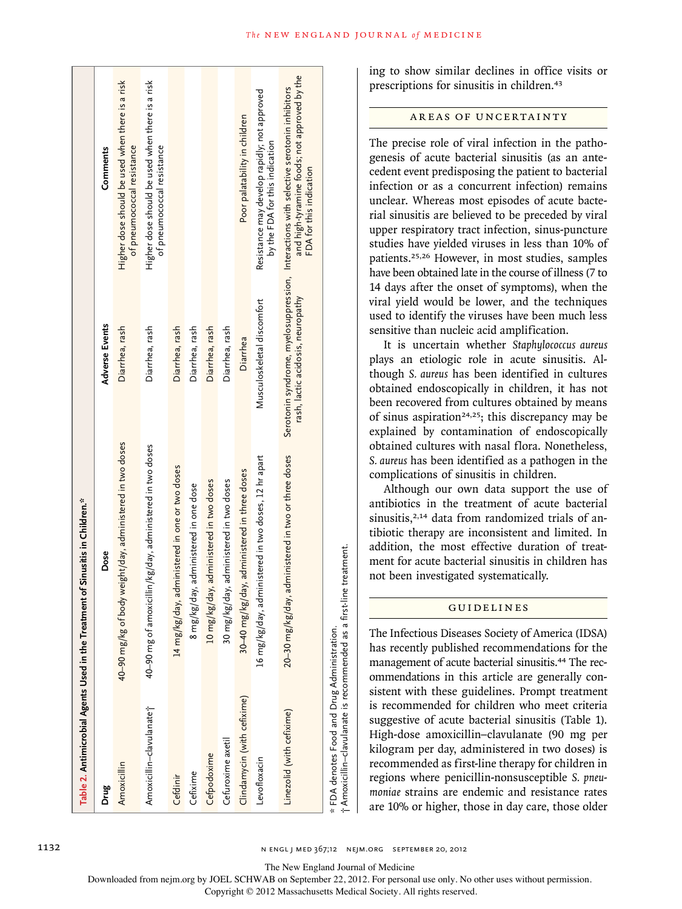|                                             | Table 2. Antimicrobial Agents Used in the Treatment of Sinusitis in Children.* |                                   |                                                                                                                                                                   |
|---------------------------------------------|--------------------------------------------------------------------------------|-----------------------------------|-------------------------------------------------------------------------------------------------------------------------------------------------------------------|
| Drug                                        | Dose                                                                           | <b>Adverse Events</b>             | Comments                                                                                                                                                          |
| Amoxicillin                                 | 40–90 mg/kg of body weight/day, administered in two doses                      | Diarrhea, rash                    | Higher dose should be used when there is a risk<br>of pneumococcal resistance                                                                                     |
| Amoxicillin-clavulanate <sup>+</sup>        | 40–90 mg of amoxicillin/kg/day, administered in two doses                      | Diarrhea, rash                    | Higher dose should be used when there is a risk<br>of pneumococcal resistance                                                                                     |
| Cefdinir                                    | 14 mg/kg/day, administered in one or two doses                                 | Diarrhea, rash                    |                                                                                                                                                                   |
| Cefixime                                    | 8 mg/kg/day, administered in one dose                                          | Diarrhea, rash                    |                                                                                                                                                                   |
| Cefpodoxime                                 | 10 mg/kg/day, administered in two doses                                        | Diarrhea, rash                    |                                                                                                                                                                   |
| Cefuroxime axetil                           | 30 mg/kg/day, administered in two doses                                        | Diarrhea, rash                    |                                                                                                                                                                   |
| Clindamycin (with cefixime)                 | 30–40 mg/kg/day, administered in three doses                                   | Diarrhea                          | Poor palatability in children                                                                                                                                     |
| Levofloxacin                                | 16 mg/kg/day, administered in two doses, 12 hr apart                           | Musculoskeletal discomfort        | Resistance may develop rapidly; not approved<br>by the FDA for this indication                                                                                    |
| Linezolid (with cefixime)                   | 20-30 mg/kg/day, administered in two or three doses                            | rash, lactic acidosis, neuropathy | and high-tyramine foods; not approved by the<br>Serotonin syndrome, myelosuppression, Interactions with selective serotonin inhibitors<br>FDA for this indication |
| * FDA denotes Food and Drug Administration. | †Amoxicillin-clavulanate is recommended as a first-line treatment.             |                                   |                                                                                                                                                                   |

ing to show similar declines in office visits or prescriptions for sinusitis in children.<sup>43</sup>

**The NEW ENGLAND JOURNAL of MEDICINE** 

## AREAS OF UNCERTAINTY

The precise role of viral infection in the pathogenesis of acute bacterial sinusitis (as an antecedent event predisposing the patient to bacterial infection or as a concurrent infection) remains unclear. Whereas most episodes of acute bacterial sinusitis are believed to be preceded by viral upper respiratory tract infection, sinus-puncture studies have yielded viruses in less than 10% of patients.25,26 However, in most studies, samples have been obtained late in the course of illness (7 to 14 days after the onset of symptoms), when the viral yield would be lower, and the techniques used to identify the viruses have been much less sensitive than nucleic acid amplification.

It is uncertain whether *Staphylococcus aureus* plays an etiologic role in acute sinusitis. Although *S. aureus* has been identified in cultures obtained endoscopically in children, it has not been recovered from cultures obtained by means of sinus aspiration<sup>24,25</sup>; this discrepancy may be explained by contamination of endoscopically obtained cultures with nasal flora. Nonetheless, *S. aureus* has been identified as a pathogen in the complications of sinusitis in children.

Although our own data support the use of antibiotics in the treatment of acute bacterial sinusitis,<sup>2,14</sup> data from randomized trials of antibiotic therapy are inconsistent and limited. In addition, the most effective duration of treatment for acute bacterial sinusitis in children has not been investigated systematically.

## Guidelines

The Infectious Diseases Society of America (IDSA) has recently published recommendations for the management of acute bacterial sinusitis.<sup>44</sup> The recommendations in this article are generally consistent with these guidelines. Prompt treatment is recommended for children who meet criteria suggestive of acute bacterial sinusitis (Table 1). High-dose amoxicillin–clavulanate (90 mg per kilogram per day, administered in two doses) is recommended as first-line therapy for children in regions where penicillin-nonsusceptible *S. pneumoniae* strains are endemic and resistance rates are 10% or higher, those in day care, those older

The New England Journal of Medicine

Downloaded from nejm.org by JOEL SCHWAB on September 22, 2012. For personal use only. No other uses without permission.

Copyright © 2012 Massachusetts Medical Society. All rights reserved.

†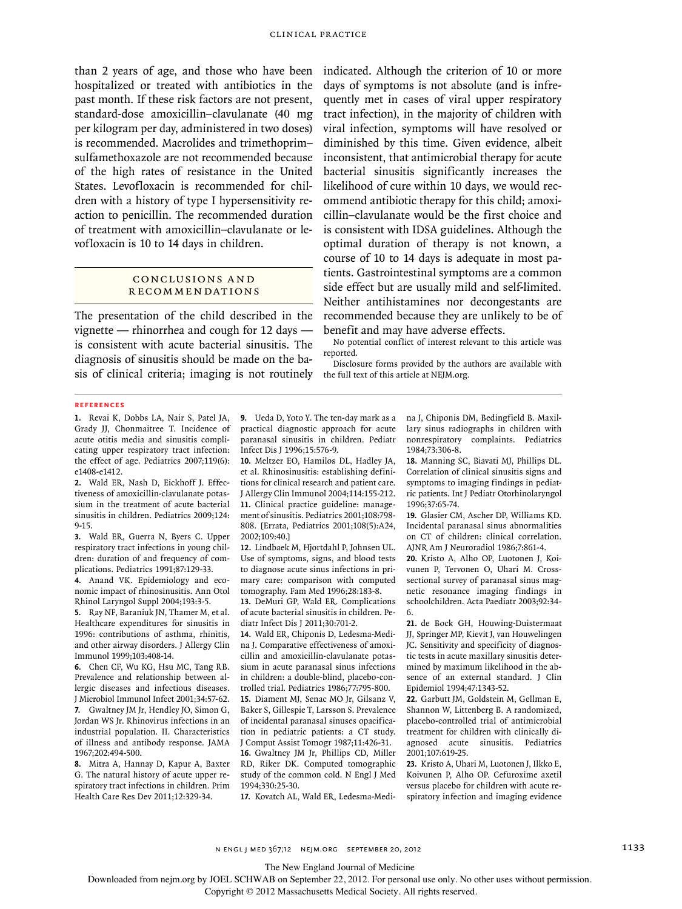than 2 years of age, and those who have been hospitalized or treated with antibiotics in the past month. If these risk factors are not present, standard-dose amoxicillin–clavulanate (40 mg per kilogram per day, administered in two doses) is recommended. Macrolides and trimethoprim– sulfamethoxazole are not recommended because of the high rates of resistance in the United States. Levofloxacin is recommended for children with a history of type I hypersensitivity reaction to penicillin. The recommended duration of treatment with amoxicillin–clavulanate or levofloxacin is 10 to 14 days in children.

## CONCLUSIONS AND Recommendations

The presentation of the child described in the vignette — rhinorrhea and cough for 12 days is consistent with acute bacterial sinusitis. The diagnosis of sinusitis should be made on the basis of clinical criteria; imaging is not routinely indicated. Although the criterion of 10 or more days of symptoms is not absolute (and is infrequently met in cases of viral upper respiratory tract infection), in the majority of children with viral infection, symptoms will have resolved or diminished by this time. Given evidence, albeit inconsistent, that antimicrobial therapy for acute bacterial sinusitis significantly increases the likelihood of cure within 10 days, we would recommend antibiotic therapy for this child; amoxicillin–clavulanate would be the first choice and is consistent with IDSA guidelines. Although the optimal duration of therapy is not known, a course of 10 to 14 days is adequate in most patients. Gastrointestinal symptoms are a common side effect but are usually mild and self-limited. Neither antihistamines nor decongestants are recommended because they are unlikely to be of benefit and may have adverse effects.

No potential conflict of interest relevant to this article was reported.

Disclosure forms provided by the authors are available with the full text of this article at NEJM.org.

#### **References**

**1.** Revai K, Dobbs LA, Nair S, Patel JA, Grady JJ, Chonmaitree T. Incidence of acute otitis media and sinusitis complicating upper respiratory tract infection: the effect of age. Pediatrics 2007;119(6): e1408-e1412.

**2.** Wald ER, Nash D, Eickhoff J. Effectiveness of amoxicillin-clavulanate potassium in the treatment of acute bacterial sinusitis in children. Pediatrics 2009;124: 9-15.

**3.** Wald ER, Guerra N, Byers C. Upper respiratory tract infections in young children: duration of and frequency of complications. Pediatrics 1991;87:129-33.

**4.** Anand VK. Epidemiology and economic impact of rhinosinusitis. Ann Otol Rhinol Laryngol Suppl 2004;193:3-5.

**5.** Ray NF, Baraniuk JN, Thamer M, et al. Healthcare expenditures for sinusitis in 1996: contributions of asthma, rhinitis, and other airway disorders. J Allergy Clin Immunol 1999;103:408-14.

**6.** Chen CF, Wu KG, Hsu MC, Tang RB. Prevalence and relationship between allergic diseases and infectious diseases. J Microbiol Immunol Infect 2001;34:57-62. **7.** Gwaltney JM Jr, Hendley JO, Simon G, Jordan WS Jr. Rhinovirus infections in an industrial population. II. Characteristics of illness and antibody response. JAMA 1967;202:494-500.

**8.** Mitra A, Hannay D, Kapur A, Baxter G. The natural history of acute upper respiratory tract infections in children. Prim Health Care Res Dev 2011;12:329-34.

**9.** Ueda D, Yoto Y. The ten-day mark as a practical diagnostic approach for acute paranasal sinusitis in children. Pediatr Infect Dis J 1996;15:576-9.

**10.** Meltzer EO, Hamilos DL, Hadley JA, et al. Rhinosinusitis: establishing definitions for clinical research and patient care. J Allergy Clin Immunol 2004;114:155-212. **11.** Clinical practice guideline: management of sinusitis. Pediatrics 2001;108:798- 808. [Errata, Pediatrics 2001;108(5):A24, 2002;109:40.]

**12.** Lindbaek M, Hjortdahl P, Johnsen UL. Use of symptoms, signs, and blood tests to diagnose acute sinus infections in primary care: comparison with computed tomography. Fam Med 1996;28:183-8.

**13.** DeMuri GP, Wald ER. Complications of acute bacterial sinusitis in children. Pediatr Infect Dis J 2011;30:701-2.

**14.** Wald ER, Chiponis D, Ledesma-Medina J. Comparative effectiveness of amoxicillin and amoxicillin-clavulanate potassium in acute paranasal sinus infections in children: a double-blind, placebo-controlled trial. Pediatrics 1986;77:795-800. **15.** Diament MJ, Senac MO Jr, Gilsanz V, Baker S, Gillespie T, Larsson S. Prevalence of incidental paranasal sinuses opacification in pediatric patients: a CT study. J Comput Assist Tomogr 1987;11:426-31. **16.** Gwaltney JM Jr, Phillips CD, Miller RD, Riker DK. Computed tomographic study of the common cold. N Engl J Med 1994;330:25-30.

**17.** Kovatch AL, Wald ER, Ledesma-Medi-

na J, Chiponis DM, Bedingfield B. Maxillary sinus radiographs in children with nonrespiratory complaints. Pediatrics 1984;73:306-8.

**18.** Manning SC, Biavati MJ, Phillips DL. Correlation of clinical sinusitis signs and symptoms to imaging findings in pediatric patients. Int J Pediatr Otorhinolaryngol 1996;37:65-74.

**19.** Glasier CM, Ascher DP, Williams KD. Incidental paranasal sinus abnormalities on CT of children: clinical correlation. AJNR Am J Neuroradiol 1986;7:861-4.

**20.** Kristo A, Alho OP, Luotonen J, Koivunen P, Tervonen O, Uhari M. Crosssectional survey of paranasal sinus magnetic resonance imaging findings in schoolchildren. Acta Paediatr 2003;92:34- 6.

**21.** de Bock GH, Houwing-Duistermaat JJ, Springer MP, Kievit J, van Houwelingen JC. Sensitivity and specificity of diagnostic tests in acute maxillary sinusitis determined by maximum likelihood in the absence of an external standard. J Clin Epidemiol 1994;47:1343-52.

**22.** Garbutt JM, Goldstein M, Gellman E, Shannon W, Littenberg B. A randomized, placebo-controlled trial of antimicrobial treatment for children with clinically diagnosed acute sinusitis. Pediatrics 2001;107:619-25.

**23.** Kristo A, Uhari M, Luotonen J, Ilkko E, Koivunen P, Alho OP. Cefuroxime axetil versus placebo for children with acute respiratory infection and imaging evidence

The New England Journal of Medicine

Downloaded from nejm.org by JOEL SCHWAB on September 22, 2012. For personal use only. No other uses without permission.